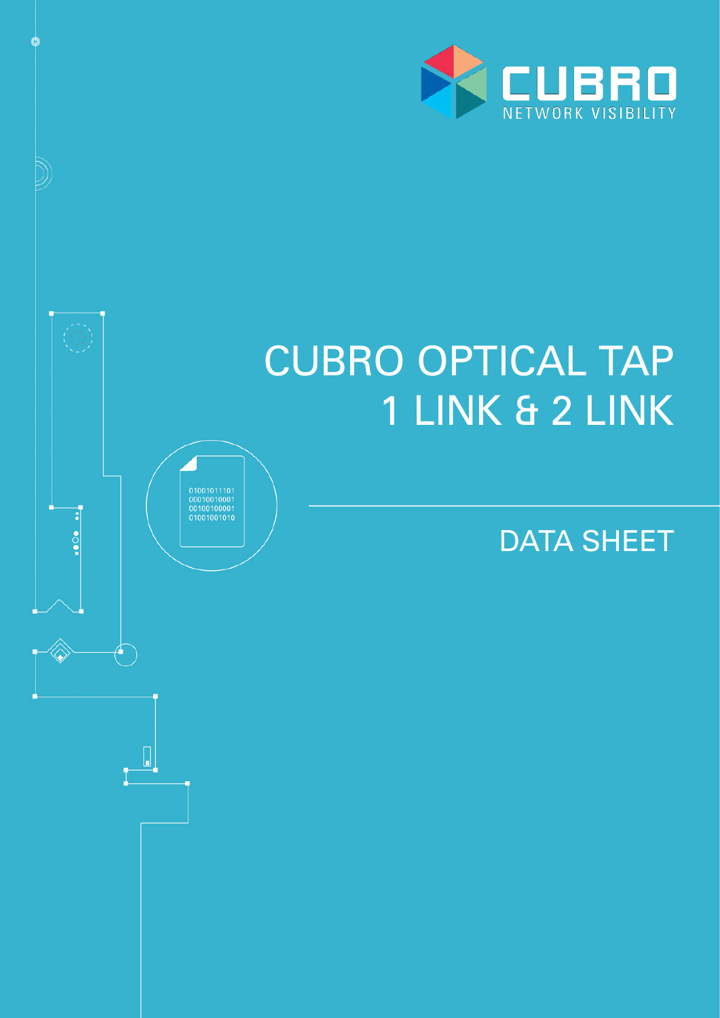

# CUBRO OPTICAL TAP 1 LINK & 2 LINK

DATA SHEET

 $\begin{array}{c} 01001011101 \\ 00010010001 \\ 00100100001 \\ 01001001010 \end{array}$ 

 $\cdots$ 

 $\begin{bmatrix} \end{bmatrix}$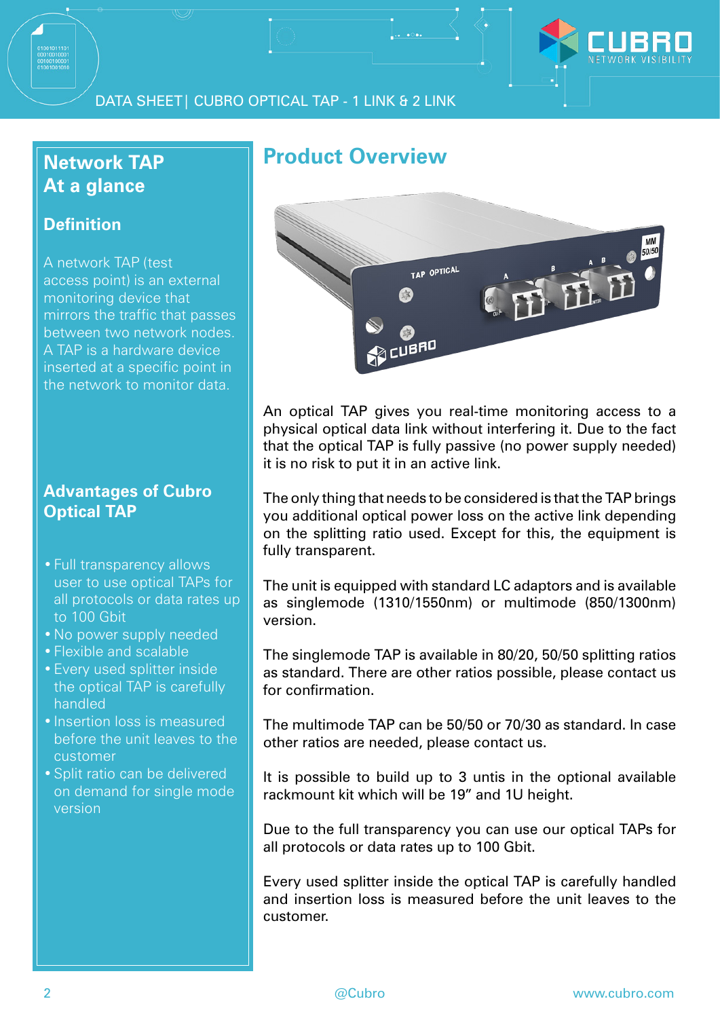

#### DATA SHEET| CUBRO OPTICAL TAP - 1 LINK & 2 LINK

### **Network TAP At a glance**

#### **Definition**

A network TAP (test access point) is an external monitoring device that mirrors the traffic that passes between two network nodes. A TAP is a hardware device inserted at a specific point in the network to monitor data.

#### **Advantages of Cubro Optical TAP**

- •Full transparency allows user to use optical TAPs for all protocols or data rates up to 100 Gbit
- •No power supply needed
- •Flexible and scalable
- •Every used splitter inside the optical TAP is carefully handled
- Insertion loss is measured before the unit leaves to the customer
- •Split ratio can be delivered on demand for single mode version

## **Product Overview**



An optical TAP gives you real-time monitoring access to a physical optical data link without interfering it. Due to the fact that the optical TAP is fully passive (no power supply needed) it is no risk to put it in an active link.

The only thing that needs to be considered is that the TAP brings you additional optical power loss on the active link depending on the splitting ratio used. Except for this, the equipment is fully transparent.

The unit is equipped with standard LC adaptors and is available as singlemode (1310/1550nm) or multimode (850/1300nm) version.

The singlemode TAP is available in 80/20, 50/50 splitting ratios as standard. There are other ratios possible, please contact us for confirmation.

The multimode TAP can be 50/50 or 70/30 as standard. In case other ratios are needed, please contact us.

It is possible to build up to 3 untis in the optional available rackmount kit which will be 19" and 1U height.

Due to the full transparency you can use our optical TAPs for all protocols or data rates up to 100 Gbit.

Every used splitter inside the optical TAP is carefully handled and insertion loss is measured before the unit leaves to the customer.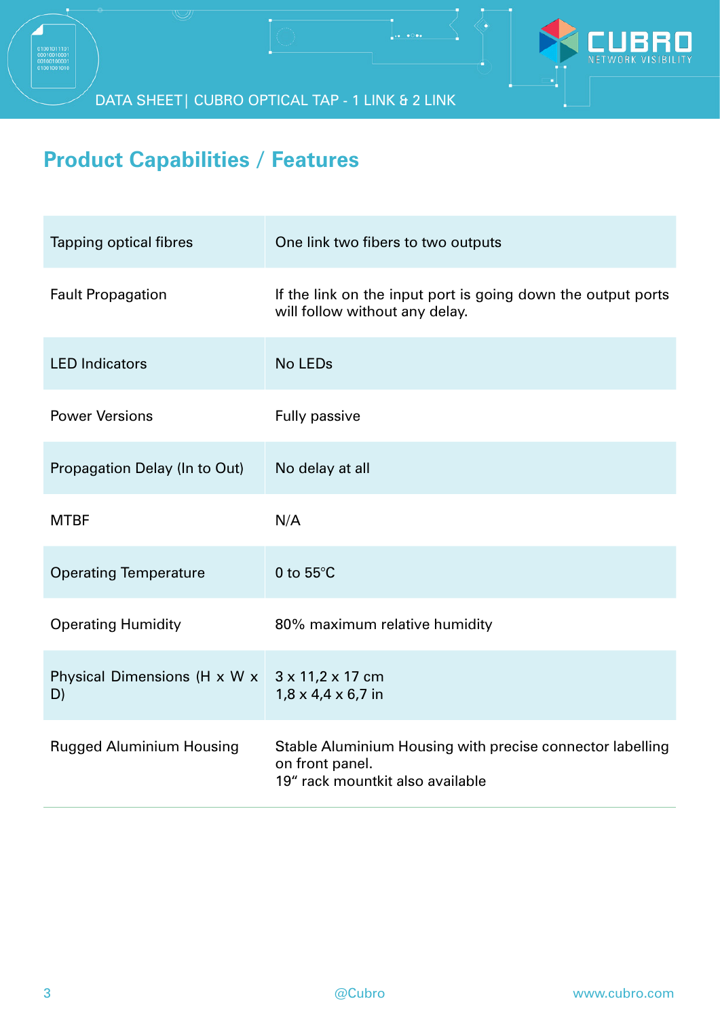

DATA SHEET| CUBRO OPTICAL TAP - 1 LINK & 2 LINK

## **Product Capabilities / Features**

| <b>Tapping optical fibres</b>      | One link two fibers to two outputs                                                                               |
|------------------------------------|------------------------------------------------------------------------------------------------------------------|
| <b>Fault Propagation</b>           | If the link on the input port is going down the output ports<br>will follow without any delay.                   |
| <b>LED Indicators</b>              | <b>No LEDs</b>                                                                                                   |
| <b>Power Versions</b>              | <b>Fully passive</b>                                                                                             |
| Propagation Delay (In to Out)      | No delay at all                                                                                                  |
| <b>MTBF</b>                        | N/A                                                                                                              |
| <b>Operating Temperature</b>       | 0 to $55^{\circ}$ C                                                                                              |
| <b>Operating Humidity</b>          | 80% maximum relative humidity                                                                                    |
| Physical Dimensions (H x W x<br>D) | 3 x 11,2 x 17 cm<br>$1,8 \times 4,4 \times 6,7$ in                                                               |
| <b>Rugged Aluminium Housing</b>    | Stable Aluminium Housing with precise connector labelling<br>on front panel.<br>19" rack mountkit also available |